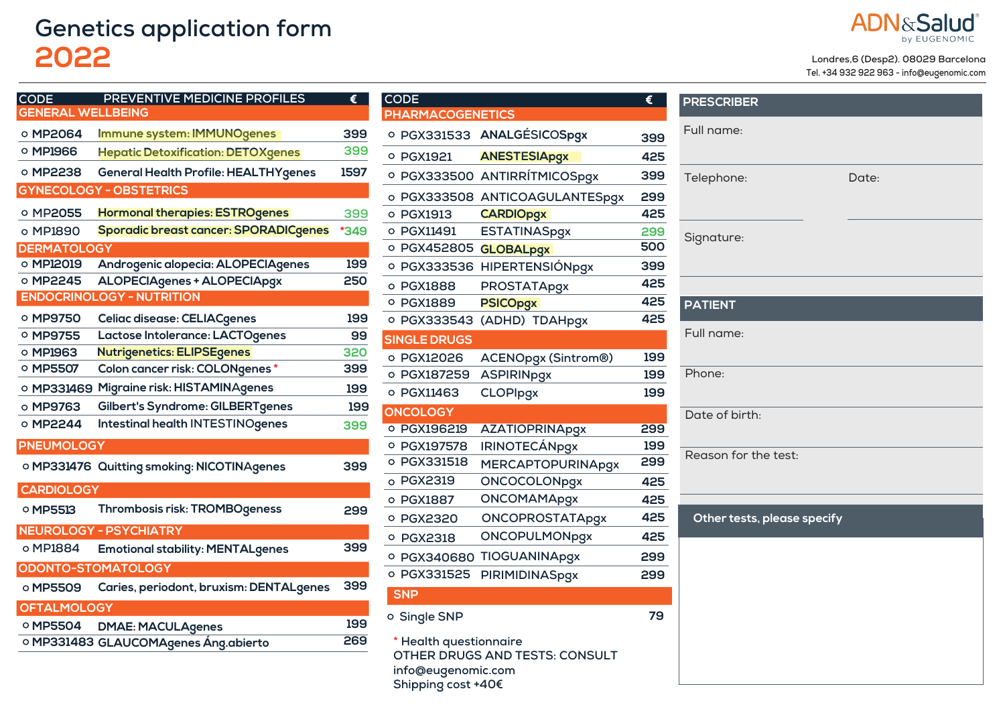## **Genetics application form 2022**



## **Londres,6 (Desp2). 08029 Barcelona**

**Tel. +34 932 922 963 - info@eugenomic.com**

| $\mathsf{CODE}$          | PREVENTIVE MEDICINE PROFILES                 | €    |
|--------------------------|----------------------------------------------|------|
| <b>GENERAL WELLBEING</b> |                                              |      |
| <b>O MP2064</b>          | Immune system: IMMUNOgenes                   | 399  |
| ○ MP1966                 | <b>Hepatic Detoxification: DETOXgenes</b>    | 399  |
| ○ MP2238                 | <b>General Health Profile: HEALTHYgenes</b>  | 1597 |
|                          | <b>GYNECOLOGY - OBSTETRICS</b>               |      |
| O MP2055                 | <b>Hormonal therapies: ESTROgenes</b>        | 399  |
| o MP1890                 | <b>Sporadic breast cancer: SPORADICgenes</b> | *349 |
| <b>DERMATOLOGY</b>       |                                              |      |
| o MP12019                | Androgenic alopecia: ALOPECIAgenes           | 199  |
| O MP2245                 | ALOPECIAgenes + ALOPECIApgx                  | 250  |
|                          | <b>ENDOCRINOLOGY - NUTRITION</b>             |      |
| ○ MP9750                 | Celiac disease: CELIACgenes                  | 199  |
| O MP9755                 | Lactose Intolerance: LACTOgenes              | 99   |
| O MP1963                 | <b>Nutrigenetics: ELIPSEgenes</b>            | 320  |
| ○ MP5507                 | Colon cancer risk: COLONgenes*               | 399  |
| ○ МРЗЗ1469               | Migraine risk: HISTAMINAgenes                | 199  |
| o MP9763                 | Gilbert's Syndrome: GILBERTgenes             | 199  |
| $\circ$ MP2244           | <b>Intestinal health INTESTINOgenes</b>      | 399  |
| <b>PNEUMOLOGY</b>        |                                              |      |
|                          | O MP331476 Quitting smoking: NICOTINAgenes   | 399  |
| <b>CARDIOLOGY</b>        |                                              |      |
| O MP5513                 | Thrombosis risk: TROMBOgeness                | 299  |
|                          | <b>NEUROLOGY - PSYCHIATRY</b>                |      |
| o MP1884                 | <b>Emotional stability: MENTALgenes</b>      | 399  |
| ODONTO-STOMATOLOGY       |                                              |      |
| o MP5509                 | Caries, periodont, bruxism: DENTALgenes      | 399  |
| <b>OFTALMOLOGY</b>       |                                              |      |
| O MP5504                 | <b>DMAE: MACULAgenes</b>                     | 199  |
|                          | ○ MP331483 GLAUCOMAgenes Áng.abierto         | 269  |
|                          |                                              |      |

| <b>CODE</b>             |                            | €   |
|-------------------------|----------------------------|-----|
| <b>PHARMACOGENETICS</b> |                            |     |
| O PGX331533             | ANALGÉSICOSpgx             | 399 |
| <b>O</b> PGX1921        | <b>ANESTESIApgx</b>        | 425 |
| PGX333500<br>o          | ANTIRRÍTMICOSpgx           | 399 |
| PGX333508<br>O          | ANTICOAGULANTESpgx         | 299 |
| <b>PGX1913</b><br>O     | <b>CARDIOpgx</b>           | 425 |
| o PGX11491              | <b>ESTATINASpgx</b>        | 299 |
| O PGX452805             | <b>GLOBALpgx</b>           | 500 |
| O PGX333536             | HIPERTENSIÓNpgx            | 399 |
| o PGX1888               | <b>PROSTATApgx</b>         | 425 |
| <b>O PGX1889</b>        | <b>PSICOpgx</b>            | 425 |
| o PGX333543             | (ADHD) TDAHpgx             | 425 |
| <b>SINGLE DRUGS</b>     |                            |     |
| o PGX12026              | <b>ACENOpgx (Sintrom®)</b> | 199 |
| o PGX187259             | <b>ASPIRINpgx</b>          | 199 |
| o PGX11463              | <b>CLOPIpgx</b>            | 199 |
| <b>ONCOLOGY</b>         |                            |     |
| O PGX196219             | <b>AZATIOPRINApgx</b>      | 299 |
| O PGX197578             | <b>IRINOTECÁNpgx</b>       | 199 |
| O PGX331518             | <b>MERCAPTOPURINApgx</b>   | 299 |
| <b>PGX2319</b><br>Ō     | <b>ONCOCOLONpgx</b>        | 425 |
| <b>PGX1887</b><br>O     | <b>ONCOMAMApgx</b>         | 425 |
| <b>O PGX2320</b>        | <b>ONCOPROSTATApgx</b>     | 425 |
| <b>PGX2318</b><br>O     | <b>ONCOPULMONpgx</b>       | 425 |
| O PGX340680             | TIOGUANINApgx              | 299 |
| O PGX331525             | <b>PIRIMIDINASpgx</b>      | 299 |
| <b>SNP</b>              |                            |     |
| o Single SNP            |                            | 79  |
| * Health questionnaire  |                            |     |

**CODE**

**OTHER DRUGS AND TESTS: CONSULT info@eugenomic.com Shipping cost +40€**

| <b>PRESCRIBER</b>           |       |
|-----------------------------|-------|
| Full name:                  |       |
| Telephone:                  | Date: |
| Signature:                  |       |
| <b>PATIENT</b>              |       |
|                             |       |
| Full name:                  |       |
| Phone:                      |       |
| Date of birth:              |       |
| Reason for the test:        |       |
| Other tests, please specify |       |
|                             |       |